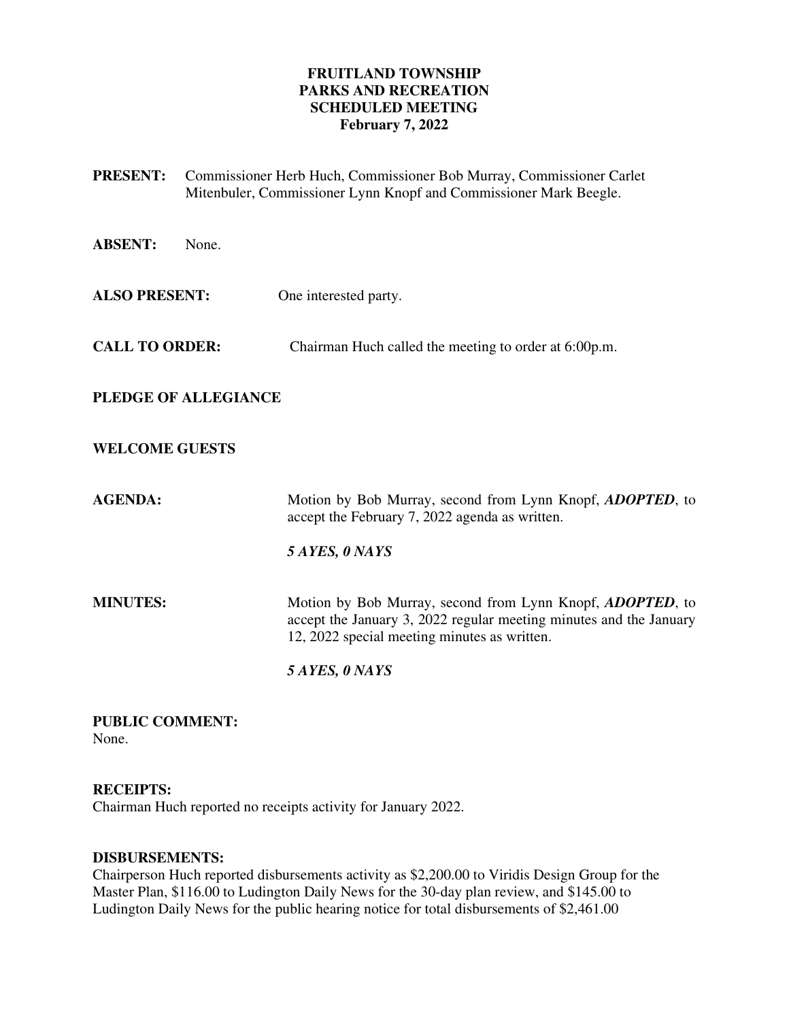# **FRUITLAND TOWNSHIP PARKS AND RECREATION SCHEDULED MEETING February 7, 2022**

| <b>PRESENT:</b>       | Commissioner Herb Huch, Commissioner Bob Murray, Commissioner Carlet<br>Mitenbuler, Commissioner Lynn Knopf and Commissioner Mark Beegle.                                       |
|-----------------------|---------------------------------------------------------------------------------------------------------------------------------------------------------------------------------|
| <b>ABSENT:</b>        | None.                                                                                                                                                                           |
| <b>ALSO PRESENT:</b>  | One interested party.                                                                                                                                                           |
| <b>CALL TO ORDER:</b> | Chairman Huch called the meeting to order at 6:00p.m.                                                                                                                           |
|                       | PLEDGE OF ALLEGIANCE                                                                                                                                                            |
| <b>WELCOME GUESTS</b> |                                                                                                                                                                                 |
| <b>AGENDA:</b>        | Motion by Bob Murray, second from Lynn Knopf, <i>ADOPTED</i> , to<br>accept the February 7, 2022 agenda as written.                                                             |
|                       | 5 AYES, 0 NAYS                                                                                                                                                                  |
| <b>MINUTES:</b>       | Motion by Bob Murray, second from Lynn Knopf, ADOPTED, to<br>accept the January 3, 2022 regular meeting minutes and the January<br>12, 2022 special meeting minutes as written. |
|                       | 5 AYES, 0 NAYS                                                                                                                                                                  |

**PUBLIC COMMENT:**  None.

# **RECEIPTS:**

Chairman Huch reported no receipts activity for January 2022.

# **DISBURSEMENTS:**

Chairperson Huch reported disbursements activity as \$2,200.00 to Viridis Design Group for the Master Plan, \$116.00 to Ludington Daily News for the 30-day plan review, and \$145.00 to Ludington Daily News for the public hearing notice for total disbursements of \$2,461.00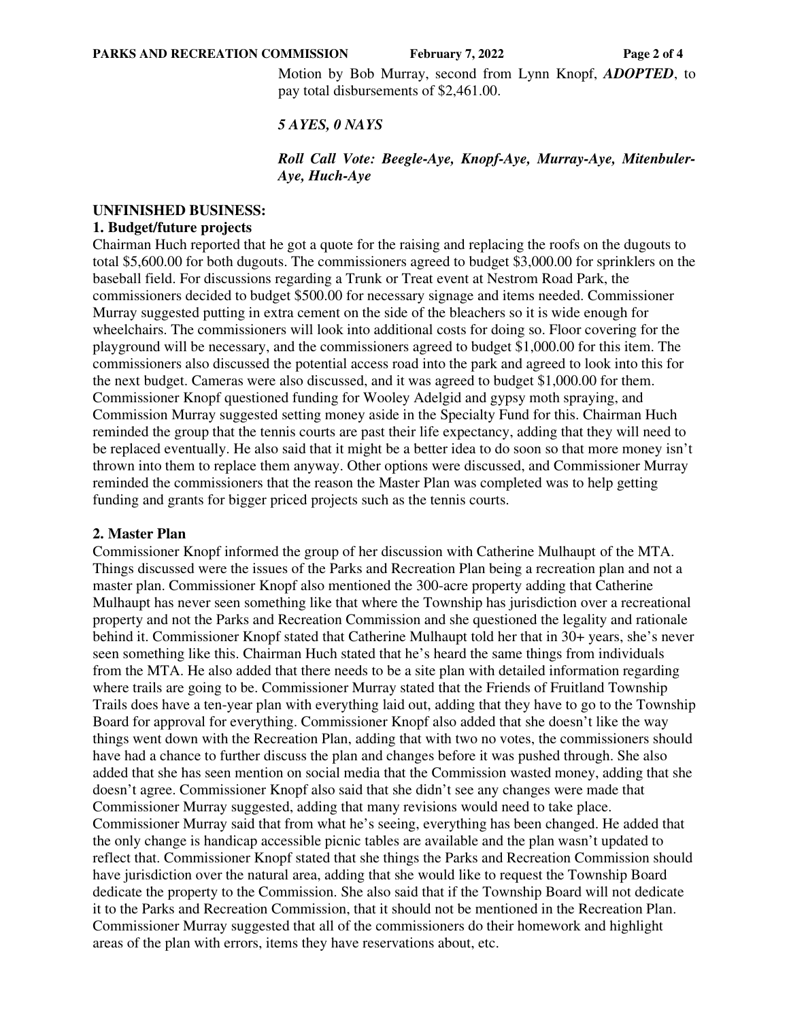**PARKS AND RECREATION COMMISSION** February 7, 2022 Page 2 of 4

Motion by Bob Murray, second from Lynn Knopf, *ADOPTED*, to pay total disbursements of \$2,461.00.

#### *5 AYES, 0 NAYS*

#### *Roll Call Vote: Beegle-Aye, Knopf-Aye, Murray-Aye, Mitenbuler-Aye, Huch-Aye*

### **UNFINISHED BUSINESS:**

# **1. Budget/future projects**

Chairman Huch reported that he got a quote for the raising and replacing the roofs on the dugouts to total \$5,600.00 for both dugouts. The commissioners agreed to budget \$3,000.00 for sprinklers on the baseball field. For discussions regarding a Trunk or Treat event at Nestrom Road Park, the commissioners decided to budget \$500.00 for necessary signage and items needed. Commissioner Murray suggested putting in extra cement on the side of the bleachers so it is wide enough for wheelchairs. The commissioners will look into additional costs for doing so. Floor covering for the playground will be necessary, and the commissioners agreed to budget \$1,000.00 for this item. The commissioners also discussed the potential access road into the park and agreed to look into this for the next budget. Cameras were also discussed, and it was agreed to budget \$1,000.00 for them. Commissioner Knopf questioned funding for Wooley Adelgid and gypsy moth spraying, and Commission Murray suggested setting money aside in the Specialty Fund for this. Chairman Huch reminded the group that the tennis courts are past their life expectancy, adding that they will need to be replaced eventually. He also said that it might be a better idea to do soon so that more money isn't thrown into them to replace them anyway. Other options were discussed, and Commissioner Murray reminded the commissioners that the reason the Master Plan was completed was to help getting funding and grants for bigger priced projects such as the tennis courts.

#### **2. Master Plan**

Commissioner Knopf informed the group of her discussion with Catherine Mulhaupt of the MTA. Things discussed were the issues of the Parks and Recreation Plan being a recreation plan and not a master plan. Commissioner Knopf also mentioned the 300-acre property adding that Catherine Mulhaupt has never seen something like that where the Township has jurisdiction over a recreational property and not the Parks and Recreation Commission and she questioned the legality and rationale behind it. Commissioner Knopf stated that Catherine Mulhaupt told her that in 30+ years, she's never seen something like this. Chairman Huch stated that he's heard the same things from individuals from the MTA. He also added that there needs to be a site plan with detailed information regarding where trails are going to be. Commissioner Murray stated that the Friends of Fruitland Township Trails does have a ten-year plan with everything laid out, adding that they have to go to the Township Board for approval for everything. Commissioner Knopf also added that she doesn't like the way things went down with the Recreation Plan, adding that with two no votes, the commissioners should have had a chance to further discuss the plan and changes before it was pushed through. She also added that she has seen mention on social media that the Commission wasted money, adding that she doesn't agree. Commissioner Knopf also said that she didn't see any changes were made that Commissioner Murray suggested, adding that many revisions would need to take place. Commissioner Murray said that from what he's seeing, everything has been changed. He added that the only change is handicap accessible picnic tables are available and the plan wasn't updated to reflect that. Commissioner Knopf stated that she things the Parks and Recreation Commission should have jurisdiction over the natural area, adding that she would like to request the Township Board dedicate the property to the Commission. She also said that if the Township Board will not dedicate it to the Parks and Recreation Commission, that it should not be mentioned in the Recreation Plan. Commissioner Murray suggested that all of the commissioners do their homework and highlight areas of the plan with errors, items they have reservations about, etc.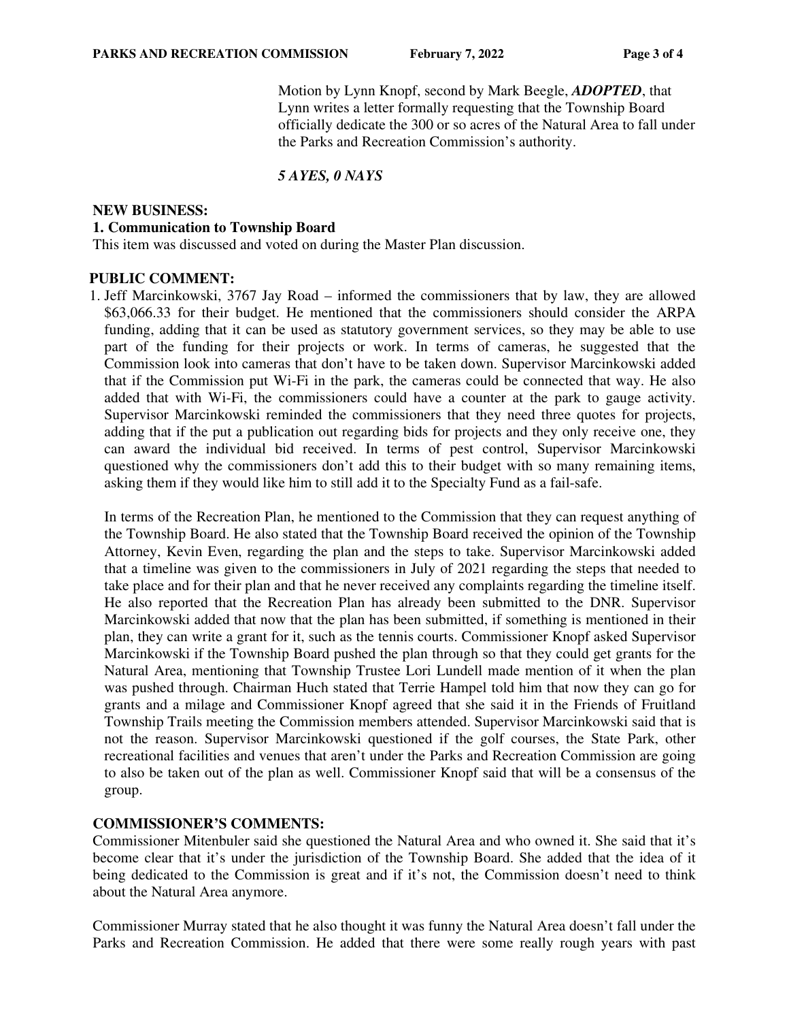Motion by Lynn Knopf, second by Mark Beegle, *ADOPTED*, that Lynn writes a letter formally requesting that the Township Board officially dedicate the 300 or so acres of the Natural Area to fall under the Parks and Recreation Commission's authority.

# *5 AYES, 0 NAYS*

### **NEW BUSINESS: 1. Communication to Township Board**

This item was discussed and voted on during the Master Plan discussion.

### **PUBLIC COMMENT:**

1. Jeff Marcinkowski, 3767 Jay Road – informed the commissioners that by law, they are allowed \$63,066.33 for their budget. He mentioned that the commissioners should consider the ARPA funding, adding that it can be used as statutory government services, so they may be able to use part of the funding for their projects or work. In terms of cameras, he suggested that the Commission look into cameras that don't have to be taken down. Supervisor Marcinkowski added that if the Commission put Wi-Fi in the park, the cameras could be connected that way. He also added that with Wi-Fi, the commissioners could have a counter at the park to gauge activity. Supervisor Marcinkowski reminded the commissioners that they need three quotes for projects, adding that if the put a publication out regarding bids for projects and they only receive one, they can award the individual bid received. In terms of pest control, Supervisor Marcinkowski questioned why the commissioners don't add this to their budget with so many remaining items, asking them if they would like him to still add it to the Specialty Fund as a fail-safe.

In terms of the Recreation Plan, he mentioned to the Commission that they can request anything of the Township Board. He also stated that the Township Board received the opinion of the Township Attorney, Kevin Even, regarding the plan and the steps to take. Supervisor Marcinkowski added that a timeline was given to the commissioners in July of 2021 regarding the steps that needed to take place and for their plan and that he never received any complaints regarding the timeline itself. He also reported that the Recreation Plan has already been submitted to the DNR. Supervisor Marcinkowski added that now that the plan has been submitted, if something is mentioned in their plan, they can write a grant for it, such as the tennis courts. Commissioner Knopf asked Supervisor Marcinkowski if the Township Board pushed the plan through so that they could get grants for the Natural Area, mentioning that Township Trustee Lori Lundell made mention of it when the plan was pushed through. Chairman Huch stated that Terrie Hampel told him that now they can go for grants and a milage and Commissioner Knopf agreed that she said it in the Friends of Fruitland Township Trails meeting the Commission members attended. Supervisor Marcinkowski said that is not the reason. Supervisor Marcinkowski questioned if the golf courses, the State Park, other recreational facilities and venues that aren't under the Parks and Recreation Commission are going to also be taken out of the plan as well. Commissioner Knopf said that will be a consensus of the group.

## **COMMISSIONER'S COMMENTS:**

Commissioner Mitenbuler said she questioned the Natural Area and who owned it. She said that it's become clear that it's under the jurisdiction of the Township Board. She added that the idea of it being dedicated to the Commission is great and if it's not, the Commission doesn't need to think about the Natural Area anymore.

Commissioner Murray stated that he also thought it was funny the Natural Area doesn't fall under the Parks and Recreation Commission. He added that there were some really rough years with past